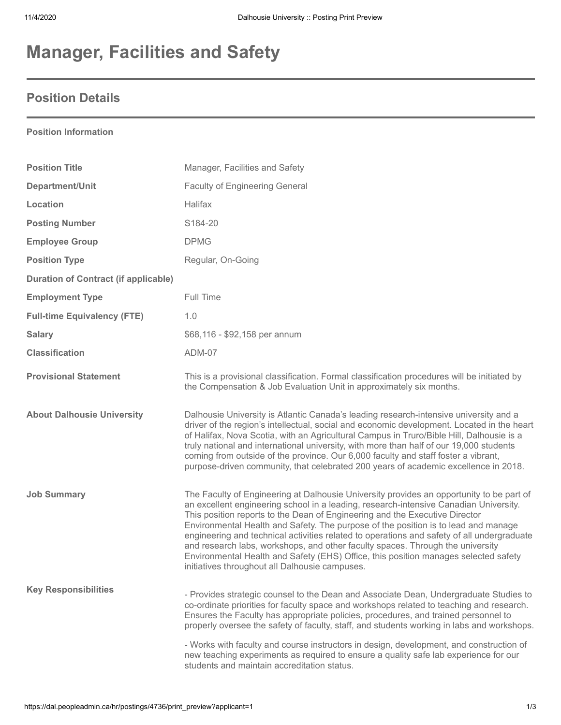# **Manager, Facilities and Safety**

### **Position Details**

### **Position Information**

| <b>Position Title</b>                       | Manager, Facilities and Safety                                                                                                                                                                                                                                                                                                                                                                                                                                                                                                                                                                                                                                                  |
|---------------------------------------------|---------------------------------------------------------------------------------------------------------------------------------------------------------------------------------------------------------------------------------------------------------------------------------------------------------------------------------------------------------------------------------------------------------------------------------------------------------------------------------------------------------------------------------------------------------------------------------------------------------------------------------------------------------------------------------|
| Department/Unit                             | <b>Faculty of Engineering General</b>                                                                                                                                                                                                                                                                                                                                                                                                                                                                                                                                                                                                                                           |
| Location                                    | <b>Halifax</b>                                                                                                                                                                                                                                                                                                                                                                                                                                                                                                                                                                                                                                                                  |
| <b>Posting Number</b>                       | S184-20                                                                                                                                                                                                                                                                                                                                                                                                                                                                                                                                                                                                                                                                         |
| <b>Employee Group</b>                       | <b>DPMG</b>                                                                                                                                                                                                                                                                                                                                                                                                                                                                                                                                                                                                                                                                     |
| <b>Position Type</b>                        | Regular, On-Going                                                                                                                                                                                                                                                                                                                                                                                                                                                                                                                                                                                                                                                               |
| <b>Duration of Contract (if applicable)</b> |                                                                                                                                                                                                                                                                                                                                                                                                                                                                                                                                                                                                                                                                                 |
| <b>Employment Type</b>                      | Full Time                                                                                                                                                                                                                                                                                                                                                                                                                                                                                                                                                                                                                                                                       |
| <b>Full-time Equivalency (FTE)</b>          | 1.0                                                                                                                                                                                                                                                                                                                                                                                                                                                                                                                                                                                                                                                                             |
| <b>Salary</b>                               | \$68,116 - \$92,158 per annum                                                                                                                                                                                                                                                                                                                                                                                                                                                                                                                                                                                                                                                   |
| <b>Classification</b>                       | ADM-07                                                                                                                                                                                                                                                                                                                                                                                                                                                                                                                                                                                                                                                                          |
| <b>Provisional Statement</b>                | This is a provisional classification. Formal classification procedures will be initiated by<br>the Compensation & Job Evaluation Unit in approximately six months.                                                                                                                                                                                                                                                                                                                                                                                                                                                                                                              |
| <b>About Dalhousie University</b>           | Dalhousie University is Atlantic Canada's leading research-intensive university and a<br>driver of the region's intellectual, social and economic development. Located in the heart<br>of Halifax, Nova Scotia, with an Agricultural Campus in Truro/Bible Hill, Dalhousie is a<br>truly national and international university, with more than half of our 19,000 students<br>coming from outside of the province. Our 6,000 faculty and staff foster a vibrant,<br>purpose-driven community, that celebrated 200 years of academic excellence in 2018.                                                                                                                         |
| <b>Job Summary</b>                          | The Faculty of Engineering at Dalhousie University provides an opportunity to be part of<br>an excellent engineering school in a leading, research-intensive Canadian University.<br>This position reports to the Dean of Engineering and the Executive Director<br>Environmental Health and Safety. The purpose of the position is to lead and manage<br>engineering and technical activities related to operations and safety of all undergraduate<br>and research labs, workshops, and other faculty spaces. Through the university<br>Environmental Health and Safety (EHS) Office, this position manages selected safety<br>initiatives throughout all Dalhousie campuses. |
| <b>Key Responsibilities</b>                 | - Provides strategic counsel to the Dean and Associate Dean, Undergraduate Studies to<br>co-ordinate priorities for faculty space and workshops related to teaching and research.<br>Ensures the Faculty has appropriate policies, procedures, and trained personnel to<br>properly oversee the safety of faculty, staff, and students working in labs and workshops.<br>- Works with faculty and course instructors in design, development, and construction of<br>new teaching experiments as required to ensure a quality safe lab experience for our<br>students and maintain accreditation status.                                                                         |
|                                             |                                                                                                                                                                                                                                                                                                                                                                                                                                                                                                                                                                                                                                                                                 |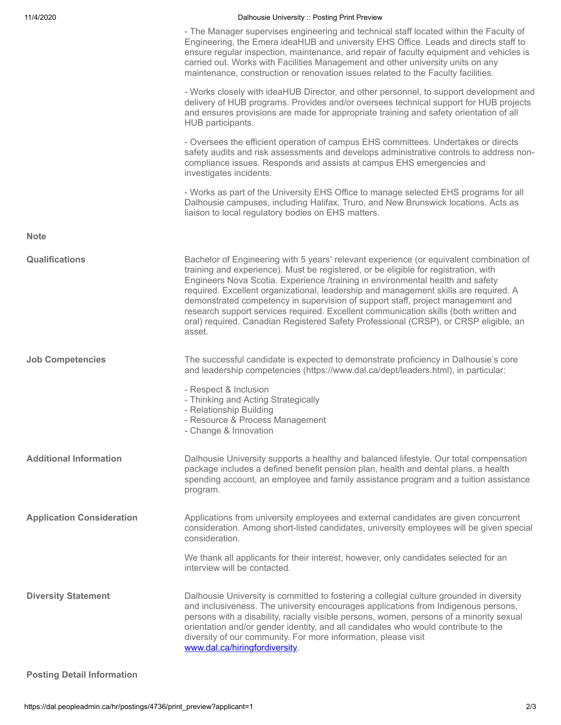| 11/4/2020<br>Dalhousie University :: Posting Print Preview<br>the contract of the contract of the contract of the contract of the contract of the contract of the contract of |
|-------------------------------------------------------------------------------------------------------------------------------------------------------------------------------|
|-------------------------------------------------------------------------------------------------------------------------------------------------------------------------------|

- The Manager supervises engineering and technical staff located within the Faculty of Engineering, the Emera ideaHUB and university EHS Office. Leads and directs staff to ensure regular inspection, maintenance, and repair of faculty equipment and vehicles is carried out. Works with Facilities Management and other university units on any maintenance, construction or renovation issues related to the Faculty facilities.

- Works closely with ideaHUB Director, and other personnel, to support development and delivery of HUB programs. Provides and/or oversees technical support for HUB projects and ensures provisions are made for appropriate training and safety orientation of all HUB participants.

- Oversees the efficient operation of campus EHS committees. Undertakes or directs safety audits and risk assessments and develops administrative controls to address noncompliance issues. Responds and assists at campus EHS emergencies and investigates incidents.

- Works as part of the University EHS Office to manage selected EHS programs for all Dalhousie campuses, including Halifax, Truro, and New Brunswick locations. Acts as liaison to local regulatory bodies on EHS matters.

**Note**

| Qualifications                   | Bachelor of Engineering with 5 years' relevant experience (or equivalent combination of<br>training and experience). Must be registered, or be eligible for registration, with<br>Engineers Nova Scotia. Experience /training in environmental health and safety<br>required. Excellent organizational, leadership and management skills are required. A<br>demonstrated competency in supervision of support staff, project management and<br>research support services required. Excellent communication skills (both written and<br>oral) required. Canadian Registered Safety Professional (CRSP), or CRSP eligible, an<br>asset. |
|----------------------------------|---------------------------------------------------------------------------------------------------------------------------------------------------------------------------------------------------------------------------------------------------------------------------------------------------------------------------------------------------------------------------------------------------------------------------------------------------------------------------------------------------------------------------------------------------------------------------------------------------------------------------------------|
| <b>Job Competencies</b>          | The successful candidate is expected to demonstrate proficiency in Dalhousie's core<br>and leadership competencies (https://www.dal.ca/dept/leaders.html), in particular:<br>- Respect & Inclusion<br>- Thinking and Acting Strategically<br>- Relationship Building<br>- Resource & Process Management<br>- Change & Innovation                                                                                                                                                                                                                                                                                                      |
| <b>Additional Information</b>    | Dalhousie University supports a healthy and balanced lifestyle. Our total compensation<br>package includes a defined benefit pension plan, health and dental plans, a health<br>spending account, an employee and family assistance program and a tuition assistance<br>program.                                                                                                                                                                                                                                                                                                                                                      |
| <b>Application Consideration</b> | Applications from university employees and external candidates are given concurrent<br>consideration. Among short-listed candidates, university employees will be given special<br>consideration.<br>We thank all applicants for their interest, however, only candidates selected for an<br>interview will be contacted.                                                                                                                                                                                                                                                                                                             |
| <b>Diversity Statement</b>       | Dalhousie University is committed to fostering a collegial culture grounded in diversity<br>and inclusiveness. The university encourages applications from Indigenous persons,<br>persons with a disability, racially visible persons, women, persons of a minority sexual<br>orientation and/or gender identity, and all candidates who would contribute to the<br>diversity of our community. For more information, please visit<br>www.dal.ca/hiringfordiversity.                                                                                                                                                                  |

#### **Posting Detail Information**